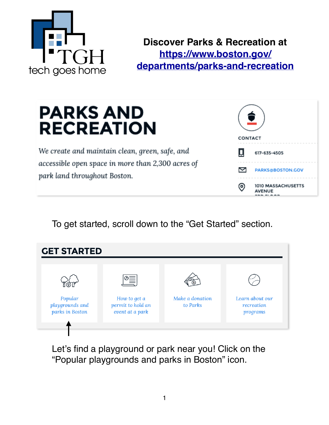

I

**Discover Parks & Recreation at [https://www.boston.gov/](https://www.boston.gov/departments/parks-and-recreation) [departments/parks-and-recreation](https://www.boston.gov/departments/parks-and-recreation)**

# **PARKS AND RECREATION**

We create and maintain clean, green, safe, and accessible open space in more than 2,300 acres of park land throughout Boston.

| CONTACT |                                     |
|---------|-------------------------------------|
| 口       | 617-635-4505                        |
| Δ       | PARKS@BOSTON.COV                    |
|         | 1010 MASSACHUSETTS<br><b>AVENUE</b> |

To get started, scroll down to the "Get Started" section.

| <b>GET STARTED</b>                            |                                                              |                             |                                           |
|-----------------------------------------------|--------------------------------------------------------------|-----------------------------|-------------------------------------------|
| Popular<br>playgrounds and<br>parks in Boston | '®≣।<br>How to get a<br>permit to hold an<br>event at a park | Make a donation<br>to Parks | Learn about our<br>recreation<br>programs |

Let's find a playground or park near you! Click on the "Popular playgrounds and parks in Boston" icon.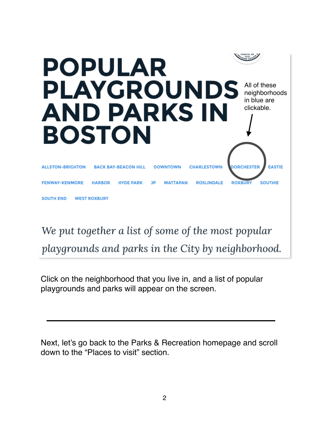

playgrounds and parks in the City by neighborhood.

Click on the neighborhood that you live in, and a list of popular playgrounds and parks will appear on the screen.

Next, let's go back to the Parks & Recreation homepage and scroll down to the "Places to visit" section.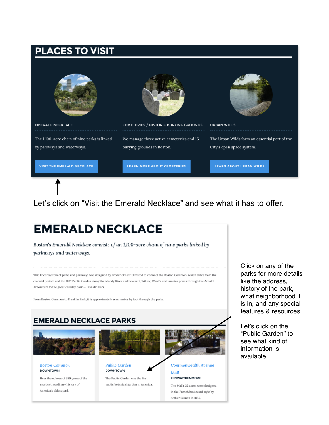### **PLACES TO VISIT**



Let's click on "Visit the Emerald Necklace" and see what it has to offer.

## **EMERALD NECKLACE**

Boston's Emerald Necklace consists of an 1,100-acre chain of nine parks linked by parkways and waterways.

This linear system of parks and parkways was designed by Frederick Law Olmsted to connect the Boston Common, which dates from the colonial period, and the 1837 Public Garden along the Muddy River and Leverett, Willow, Ward's and Jamaica ponds through the Arnold Arboretum to the great country park - Franklin Park.

From Boston Common to Franklin Park, it is approximately seven miles by foot through the parks.



Hear the echoes of 350 years of the most extraordinary history of America's oldest park.

public botanical garden in America.

The Mall's 32 acres were designed in the French boulevard style by Arthur Gilman in 1856.

Click on any of the parks for more details like the address, history of the park, what neighborhood it is in, and any special features & resources.

Let's click on the "Public Garden" to see what kind of information is available.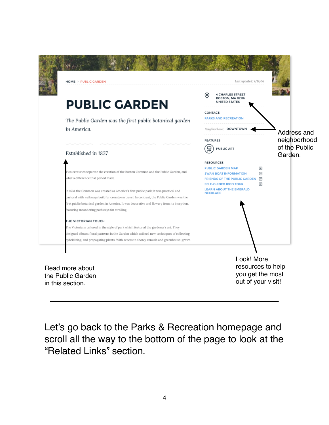| <b>HOME &gt; PUBLIC GARDEN</b>                                                                                                                                                                                                                                                                                                                                                                                                                                                           | Last updated: 7/14/16                                                                                                                                                                                                 |                                          |
|------------------------------------------------------------------------------------------------------------------------------------------------------------------------------------------------------------------------------------------------------------------------------------------------------------------------------------------------------------------------------------------------------------------------------------------------------------------------------------------|-----------------------------------------------------------------------------------------------------------------------------------------------------------------------------------------------------------------------|------------------------------------------|
| <b>PUBLIC GARDEN</b><br>The Public Garden was the first public botanical garden<br>in America.                                                                                                                                                                                                                                                                                                                                                                                           | <b>4 CHARLES STREET</b><br>(၀)<br>BOSTON, MA 02116<br><b>UNITED STATES</b><br>CONTACT:<br><b>PARKS AND RECREATION</b><br>Neighborhood: DOWNTOWN                                                                       | Address and                              |
| Established in 1837                                                                                                                                                                                                                                                                                                                                                                                                                                                                      | <b>FEATURES</b><br><b>PUBLIC ART</b>                                                                                                                                                                                  | neighborhood<br>of the Public<br>Garden. |
| I'wo centuries separate the creation of the Boston Common and the Public Garden, and<br>vhat a difference that period made.<br>n 1634 the Common was created as America's first public park; it was practical and<br>astoral with walkways built for crosstown travel. In contrast, the Public Garden was the<br>irst public botanical garden in America. It was decorative and flowery from its inception,<br>eaturing meandering pathways for strolling.<br><b>THE VICTORIAN TOUCH</b> | <b>RESOURCES</b><br>⊡<br><b>PUBLIC GARDEN MAP</b><br>⊡<br><b>SWAN BOAT INFORMATION</b><br>凤<br>FRIENDS OF THE PUBLIC GARDEN<br><b>SELF-GUIDED IPOD TOUR</b><br>凤<br><b>LEARN ABOUT THE EMERALD</b><br><b>NECKLACE</b> |                                          |
| The Victorians ushered in the style of park which featured the gardener's art. They<br>lesigned vibrant floral patterns in the Garden which utilized new techniques of collecting,<br>ybridizing, and propagating plants. With access to showy annuals and greenhouse-grown                                                                                                                                                                                                              |                                                                                                                                                                                                                       |                                          |
| Read more about<br>the Public Garden<br>in this section.                                                                                                                                                                                                                                                                                                                                                                                                                                 | Look! More<br>resources to help<br>you get the most<br>out of your visit!                                                                                                                                             |                                          |

Let's go back to the Parks & Recreation homepage and scroll all the way to the bottom of the page to look at the "Related Links" section.